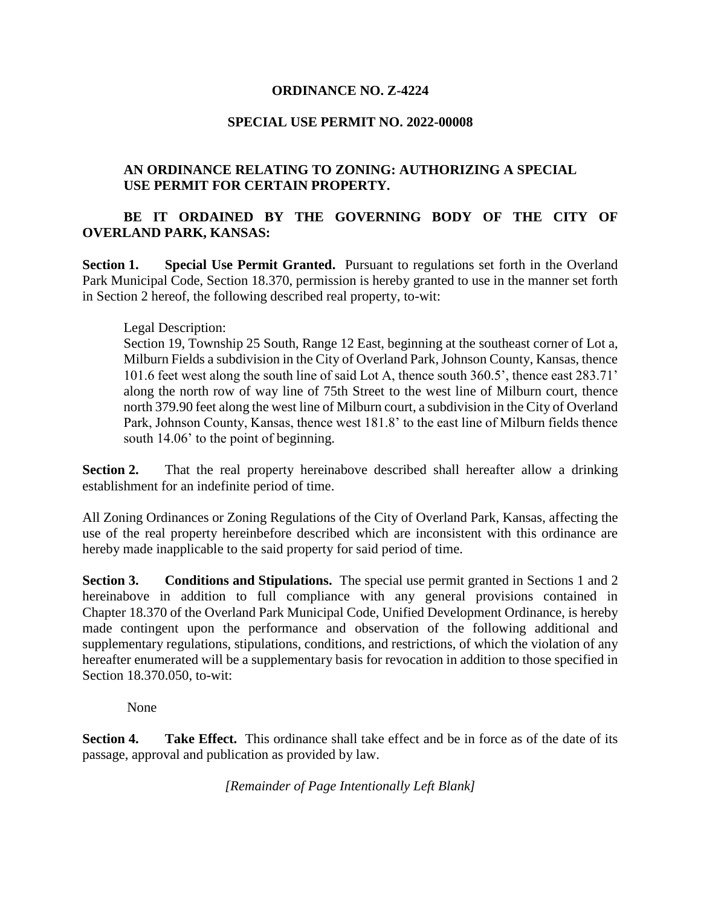#### **ORDINANCE NO. Z-4224**

#### **SPECIAL USE PERMIT NO. 2022-00008**

## **AN ORDINANCE RELATING TO ZONING: AUTHORIZING A SPECIAL USE PERMIT FOR CERTAIN PROPERTY.**

# **BE IT ORDAINED BY THE GOVERNING BODY OF THE CITY OF OVERLAND PARK, KANSAS:**

**Section 1. Special Use Permit Granted.** Pursuant to regulations set forth in the Overland Park Municipal Code, Section 18.370, permission is hereby granted to use in the manner set forth in Section 2 hereof, the following described real property, to-wit:

#### Legal Description:

Section 19, Township 25 South, Range 12 East, beginning at the southeast corner of Lot a, Milburn Fields a subdivision in the City of Overland Park, Johnson County, Kansas, thence 101.6 feet west along the south line of said Lot A, thence south 360.5', thence east 283.71' along the north row of way line of 75th Street to the west line of Milburn court, thence north 379.90 feet along the west line of Milburn court, a subdivision in the City of Overland Park, Johnson County, Kansas, thence west 181.8' to the east line of Milburn fields thence south 14.06' to the point of beginning.

**Section 2.** That the real property hereinabove described shall hereafter allow a drinking establishment for an indefinite period of time.

All Zoning Ordinances or Zoning Regulations of the City of Overland Park, Kansas, affecting the use of the real property hereinbefore described which are inconsistent with this ordinance are hereby made inapplicable to the said property for said period of time.

**Section 3.** Conditions and Stipulations. The special use permit granted in Sections 1 and 2 hereinabove in addition to full compliance with any general provisions contained in Chapter 18.370 of the Overland Park Municipal Code, Unified Development Ordinance, is hereby made contingent upon the performance and observation of the following additional and supplementary regulations, stipulations, conditions, and restrictions, of which the violation of any hereafter enumerated will be a supplementary basis for revocation in addition to those specified in Section 18.370.050, to-wit:

None

**Section 4.** Take Effect. This ordinance shall take effect and be in force as of the date of its passage, approval and publication as provided by law.

*[Remainder of Page Intentionally Left Blank]*